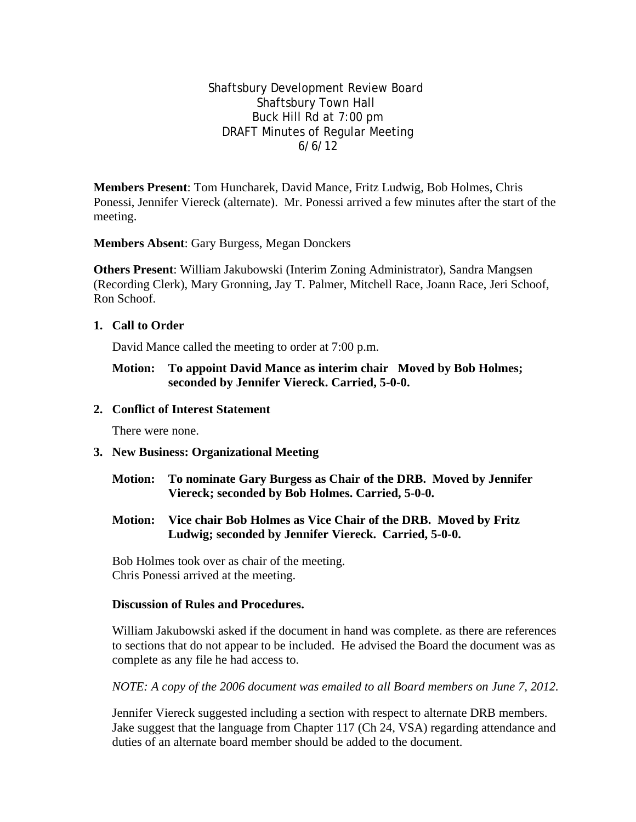Shaftsbury Development Review Board Shaftsbury Town Hall Buck Hill Rd at 7:00 pm DRAFT Minutes of Regular Meeting 6/6/12

**Members Present**: Tom Huncharek, David Mance, Fritz Ludwig, Bob Holmes, Chris Ponessi, Jennifer Viereck (alternate). Mr. Ponessi arrived a few minutes after the start of the meeting.

**Members Absent**: Gary Burgess, Megan Donckers

**Others Present**: William Jakubowski (Interim Zoning Administrator), Sandra Mangsen (Recording Clerk), Mary Gronning, Jay T. Palmer, Mitchell Race, Joann Race, Jeri Schoof, Ron Schoof.

**1. Call to Order**

David Mance called the meeting to order at 7:00 p.m.

**Motion: To appoint David Mance as interim chair Moved by Bob Holmes; seconded by Jennifer Viereck. Carried, 5-0-0.**

## **2. Conflict of Interest Statement**

There were none.

### **3. New Business: Organizational Meeting**

- **Motion: To nominate Gary Burgess as Chair of the DRB. Moved by Jennifer Viereck; seconded by Bob Holmes. Carried, 5-0-0.**
- **Motion: Vice chair Bob Holmes as Vice Chair of the DRB. Moved by Fritz Ludwig; seconded by Jennifer Viereck. Carried, 5-0-0.**

Bob Holmes took over as chair of the meeting. Chris Ponessi arrived at the meeting.

### **Discussion of Rules and Procedures.**

William Jakubowski asked if the document in hand was complete. as there are references to sections that do not appear to be included. He advised the Board the document was as complete as any file he had access to.

*NOTE: A copy of the 2006 document was emailed to all Board members on June 7, 2012.*

Jennifer Viereck suggested including a section with respect to alternate DRB members. Jake suggest that the language from Chapter 117 (Ch 24, VSA) regarding attendance and duties of an alternate board member should be added to the document.